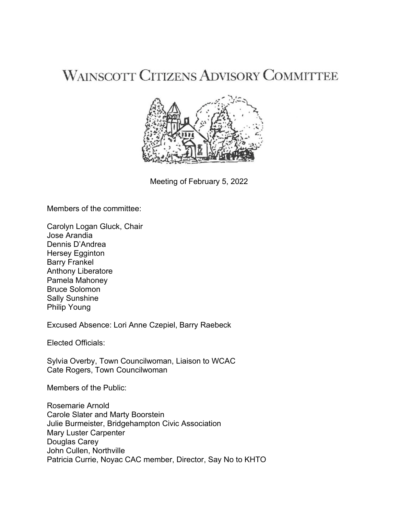# **WAINSCOTT CITIZENS ADVISORY COMMITTEE**



Meeting of February 5, 2022

Members of the committee:

Carolyn Logan Gluck, Chair Jose Arandia Dennis D'Andrea Hersey Egginton Barry Frankel Anthony Liberatore Pamela Mahoney Bruce Solomon Sally Sunshine Philip Young

Excused Absence: Lori Anne Czepiel, Barry Raebeck

Elected Officials:

Sylvia Overby, Town Councilwoman, Liaison to WCAC Cate Rogers, Town Councilwoman

Members of the Public:

Rosemarie Arnold Carole Slater and Marty Boorstein Julie Burmeister, Bridgehampton Civic Association Mary Luster Carpenter Douglas Carey John Cullen, Northville Patricia Currie, Noyac CAC member, Director, Say No to KHTO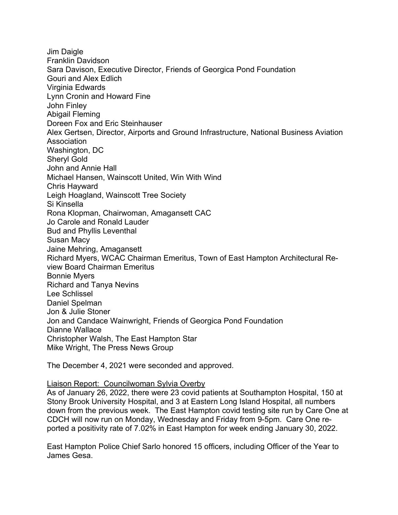Jim Daigle Franklin Davidson Sara Davison, Executive Director, Friends of Georgica Pond Foundation Gouri and Alex Edlich Virginia Edwards Lynn Cronin and Howard Fine John Finley Abigail Fleming Doreen Fox and Eric Steinhauser Alex Gertsen, Director, Airports and Ground Infrastructure, National Business Aviation Association Washington, DC Sheryl Gold John and Annie Hall Michael Hansen, Wainscott United, Win With Wind Chris Hayward Leigh Hoagland, Wainscott Tree Society Si Kinsella Rona Klopman, Chairwoman, Amagansett CAC Jo Carole and Ronald Lauder Bud and Phyllis Leventhal Susan Macy Jaine Mehring, Amagansett Richard Myers, WCAC Chairman Emeritus, Town of East Hampton Architectural Review Board Chairman Emeritus Bonnie Myers Richard and Tanya Nevins Lee Schlissel Daniel Spelman Jon & Julie Stoner Jon and Candace Wainwright, Friends of Georgica Pond Foundation Dianne Wallace Christopher Walsh, The East Hampton Star Mike Wright, The Press News Group

The December 4, 2021 were seconded and approved.

#### Liaison Report: Councilwoman Sylvia Overby

As of January 26, 2022, there were 23 covid patients at Southampton Hospital, 150 at Stony Brook University Hospital, and 3 at Eastern Long Island Hospital, all numbers down from the previous week. The East Hampton covid testing site run by Care One at CDCH will now run on Monday, Wednesday and Friday from 9-5pm. Care One reported a positivity rate of 7.02% in East Hampton for week ending January 30, 2022.

East Hampton Police Chief Sarlo honored 15 officers, including Officer of the Year to James Gesa.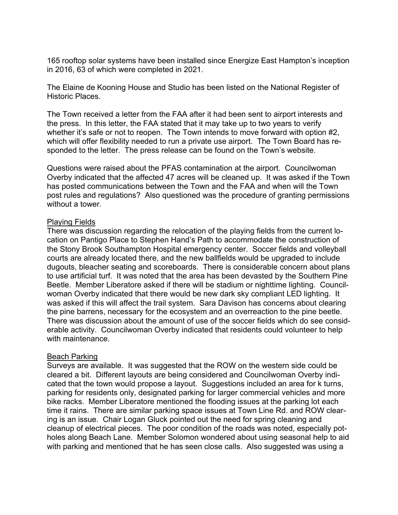165 rooftop solar systems have been installed since Energize East Hampton's inception in 2016, 63 of which were completed in 2021.

The Elaine de Kooning House and Studio has been listed on the National Register of Historic Places.

The Town received a letter from the FAA after it had been sent to airport interests and the press. In this letter, the FAA stated that it may take up to two years to verify whether it's safe or not to reopen. The Town intends to move forward with option #2, which will offer flexibility needed to run a private use airport. The Town Board has responded to the letter. The press release can be found on the Town's website.

Questions were raised about the PFAS contamination at the airport. Councilwoman Overby indicated that the affected 47 acres will be cleaned up. It was asked if the Town has posted communications between the Town and the FAA and when will the Town post rules and regulations? Also questioned was the procedure of granting permissions without a tower.

### Playing Fields

There was discussion regarding the relocation of the playing fields from the current location on Pantigo Place to Stephen Hand's Path to accommodate the construction of the Stony Brook Southampton Hospital emergency center. Soccer fields and volleyball courts are already located there, and the new ballfields would be upgraded to include dugouts, bleacher seating and scoreboards. There is considerable concern about plans to use artificial turf. It was noted that the area has been devasted by the Southern Pine Beetle. Member Liberatore asked if there will be stadium or nighttime lighting. Councilwoman Overby indicated that there would be new dark sky compliant LED lighting. It was asked if this will affect the trail system. Sara Davison has concerns about clearing the pine barrens, necessary for the ecosystem and an overreaction to the pine beetle. There was discussion about the amount of use of the soccer fields which do see considerable activity. Councilwoman Overby indicated that residents could volunteer to help with maintenance.

#### Beach Parking

Surveys are available. It was suggested that the ROW on the western side could be cleared a bit. Different layouts are being considered and Councilwoman Overby indicated that the town would propose a layout. Suggestions included an area for k turns, parking for residents only, designated parking for larger commercial vehicles and more bike racks. Member Liberatore mentioned the flooding issues at the parking lot each time it rains. There are similar parking space issues at Town Line Rd. and ROW clearing is an issue. Chair Logan Gluck pointed out the need for spring cleaning and cleanup of electrical pieces. The poor condition of the roads was noted, especially potholes along Beach Lane. Member Solomon wondered about using seasonal help to aid with parking and mentioned that he has seen close calls. Also suggested was using a